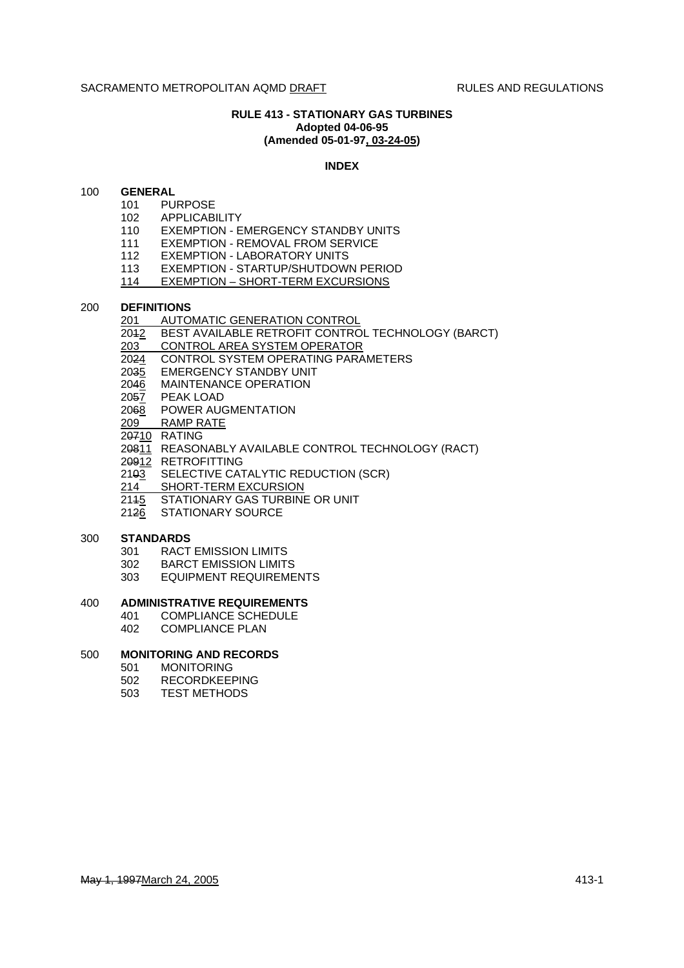## **RULE 413 - STATIONARY GAS TURBINES Adopted 04-06-95 (Amended 05-01-97, 03-24-05)**

#### **INDEX**

## 100 **GENERAL**

- 101 PURPOSE
- 102 APPLICABILITY
- 110 EXEMPTION EMERGENCY STANDBY UNITS
- 
- 111 EXEMPTION REMOVAL FROM SERVICE<br>112 EXEMPTION LABORATORY UNITS **EXEMPTION - LABORATORY UNITS**
- 113 EXEMPTION STARTUP/SHUTDOWN PERIOD<br>114 EXEMPTION SHORT-TERM EXCURSIONS
- **EXEMPTION SHORT-TERM EXCURSIONS**

#### 200 **DEFINITIONS**

- 201 AUTOMATIC GENERATION CONTROL
- 2012 BEST AVAILABLE RETROFIT CONTROL TECHNOLOGY (BARCT)
- 203 CONTROL AREA SYSTEM OPERATOR
- 2024 CONTROL SYSTEM OPERATING PARAMETERS
- 2035 EMERGENCY STANDBY UNIT
- 2046 MAINTENANCE OPERATION
- 2057 PEAK LOAD
- 2068 POWER AUGMENTATION
- 209 RAMP RATE
- 20710 RATING
- 20811 REASONABLY AVAILABLE CONTROL TECHNOLOGY (RACT)
- 20912 RETROFITTING
- 2103 SELECTIVE CATALYTIC REDUCTION (SCR)
- 214 SHORT-TERM EXCURSION
- 2145 STATIONARY GAS TURBINE OR UNIT
- 2126 STATIONARY SOURCE

#### 300 **STANDARDS**

- 301 RACT EMISSION LIMITS
- 302 BARCT EMISSION LIMITS
- 303 EQUIPMENT REQUIREMENTS

#### 400 **ADMINISTRATIVE REQUIREMENTS**

- 401 COMPLIANCE SCHEDULE
- 402 COMPLIANCE PLAN

## 500 **MONITORING AND RECORDS**

- 501 MONITORING
- 502 RECORDKEEPING
- 503 TEST METHODS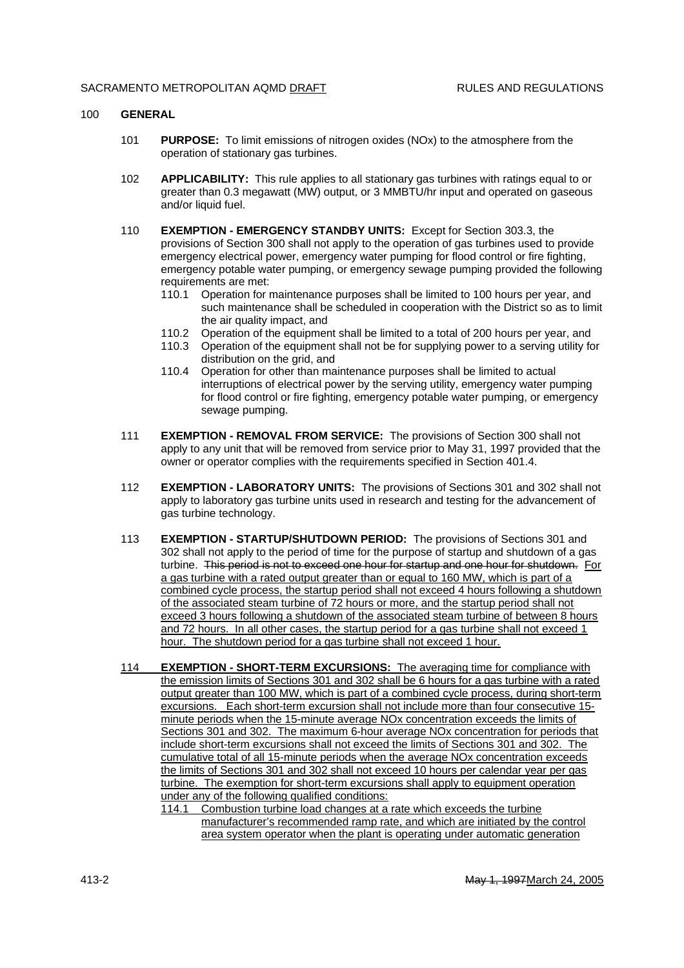#### 100 **GENERAL**

- 101 **PURPOSE:** To limit emissions of nitrogen oxides (NOx) to the atmosphere from the operation of stationary gas turbines.
- 102 **APPLICABILITY:** This rule applies to all stationary gas turbines with ratings equal to or greater than 0.3 megawatt (MW) output, or 3 MMBTU/hr input and operated on gaseous and/or liquid fuel.
- 110 **EXEMPTION EMERGENCY STANDBY UNITS:** Except for Section 303.3, the provisions of Section 300 shall not apply to the operation of gas turbines used to provide emergency electrical power, emergency water pumping for flood control or fire fighting, emergency potable water pumping, or emergency sewage pumping provided the following requirements are met:
	- 110.1 Operation for maintenance purposes shall be limited to 100 hours per year, and such maintenance shall be scheduled in cooperation with the District so as to limit the air quality impact, and
	- 110.2 Operation of the equipment shall be limited to a total of 200 hours per year, and
	- 110.3 Operation of the equipment shall not be for supplying power to a serving utility for distribution on the grid, and
	- 110.4 Operation for other than maintenance purposes shall be limited to actual interruptions of electrical power by the serving utility, emergency water pumping for flood control or fire fighting, emergency potable water pumping, or emergency sewage pumping.
- 111 **EXEMPTION REMOVAL FROM SERVICE:** The provisions of Section 300 shall not apply to any unit that will be removed from service prior to May 31, 1997 provided that the owner or operator complies with the requirements specified in Section 401.4.
- 112 **EXEMPTION LABORATORY UNITS:** The provisions of Sections 301 and 302 shall not apply to laboratory gas turbine units used in research and testing for the advancement of gas turbine technology.
- 113 **EXEMPTION STARTUP/SHUTDOWN PERIOD:** The provisions of Sections 301 and 302 shall not apply to the period of time for the purpose of startup and shutdown of a gas turbine. This period is not to exceed one hour for startup and one hour for shutdown. For a gas turbine with a rated output greater than or equal to 160 MW, which is part of a combined cycle process, the startup period shall not exceed 4 hours following a shutdown of the associated steam turbine of 72 hours or more, and the startup period shall not exceed 3 hours following a shutdown of the associated steam turbine of between 8 hours and 72 hours. In all other cases, the startup period for a gas turbine shall not exceed 1 hour. The shutdown period for a gas turbine shall not exceed 1 hour.
- 114 **EXEMPTION SHORT-TERM EXCURSIONS:** The averaging time for compliance with the emission limits of Sections 301 and 302 shall be 6 hours for a gas turbine with a rated output greater than 100 MW, which is part of a combined cycle process, during short-term excursions. Each short-term excursion shall not include more than four consecutive 15 minute periods when the 15-minute average NOx concentration exceeds the limits of Sections 301 and 302. The maximum 6-hour average NOx concentration for periods that include short-term excursions shall not exceed the limits of Sections 301 and 302. The cumulative total of all 15-minute periods when the average NOx concentration exceeds the limits of Sections 301 and 302 shall not exceed 10 hours per calendar year per gas turbine. The exemption for short-term excursions shall apply to equipment operation under any of the following qualified conditions:

<sup>114.1</sup> Combustion turbine load changes at a rate which exceeds the turbine manufacturer's recommended ramp rate, and which are initiated by the control area system operator when the plant is operating under automatic generation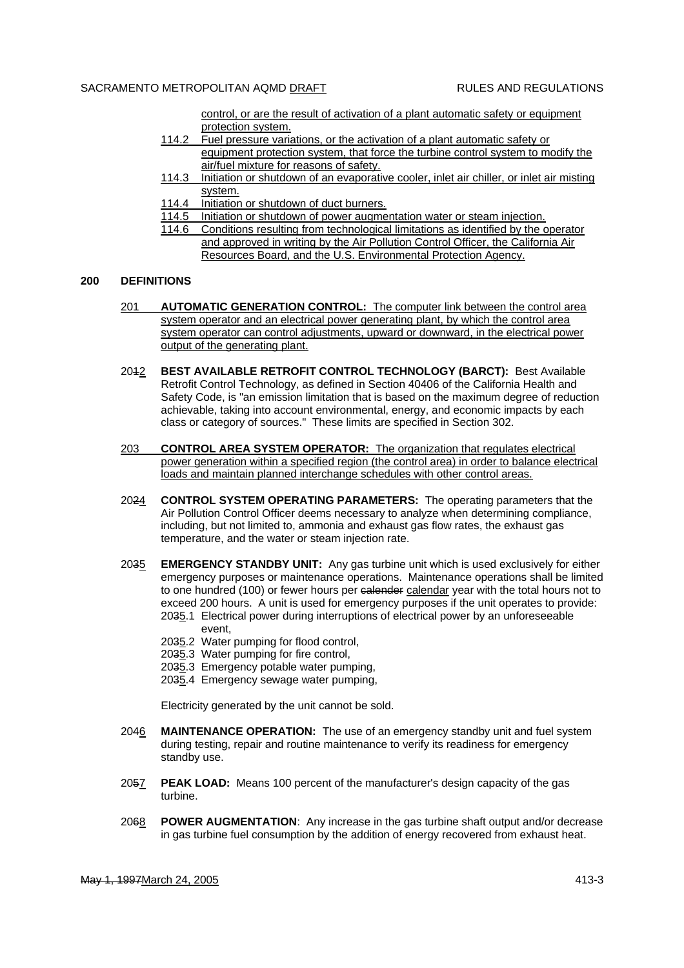control, or are the result of activation of a plant automatic safety or equipment protection system.

- 114.2 Fuel pressure variations, or the activation of a plant automatic safety or equipment protection system, that force the turbine control system to modify the air/fuel mixture for reasons of safety.
- 114.3 Initiation or shutdown of an evaporative cooler, inlet air chiller, or inlet air misting system.
- 114.4 Initiation or shutdown of duct burners.
- 114.5 Initiation or shutdown of power augmentation water or steam injection.
- 114.6 Conditions resulting from technological limitations as identified by the operator and approved in writing by the Air Pollution Control Officer, the California Air Resources Board, and the U.S. Environmental Protection Agency.

#### **200 DEFINITIONS**

- 201 **AUTOMATIC GENERATION CONTROL:** The computer link between the control area system operator and an electrical power generating plant, by which the control area system operator can control adjustments, upward or downward, in the electrical power output of the generating plant.
- 2012 **BEST AVAILABLE RETROFIT CONTROL TECHNOLOGY (BARCT):** Best Available Retrofit Control Technology, as defined in Section 40406 of the California Health and Safety Code, is "an emission limitation that is based on the maximum degree of reduction achievable, taking into account environmental, energy, and economic impacts by each class or category of sources." These limits are specified in Section 302.
- 203 **CONTROL AREA SYSTEM OPERATOR:** The organization that regulates electrical power generation within a specified region (the control area) in order to balance electrical loads and maintain planned interchange schedules with other control areas.
- 2024 **CONTROL SYSTEM OPERATING PARAMETERS:** The operating parameters that the Air Pollution Control Officer deems necessary to analyze when determining compliance, including, but not limited to, ammonia and exhaust gas flow rates, the exhaust gas temperature, and the water or steam injection rate.
- 2035 **EMERGENCY STANDBY UNIT:** Any gas turbine unit which is used exclusively for either emergency purposes or maintenance operations. Maintenance operations shall be limited to one hundred (100) or fewer hours per calender calendar year with the total hours not to exceed 200 hours. A unit is used for emergency purposes if the unit operates to provide:
	- 2035.1 Electrical power during interruptions of electrical power by an unforeseeable event,
	- 2035.2 Water pumping for flood control,
	- 2035.3 Water pumping for fire control,
	- 2035.3 Emergency potable water pumping,
	- 2035.4 Emergency sewage water pumping,

Electricity generated by the unit cannot be sold.

- 2046 **MAINTENANCE OPERATION:** The use of an emergency standby unit and fuel system during testing, repair and routine maintenance to verify its readiness for emergency standby use.
- 2057 **PEAK LOAD:** Means 100 percent of the manufacturer's design capacity of the gas turbine.
- 2068 **POWER AUGMENTATION**: Any increase in the gas turbine shaft output and/or decrease in gas turbine fuel consumption by the addition of energy recovered from exhaust heat.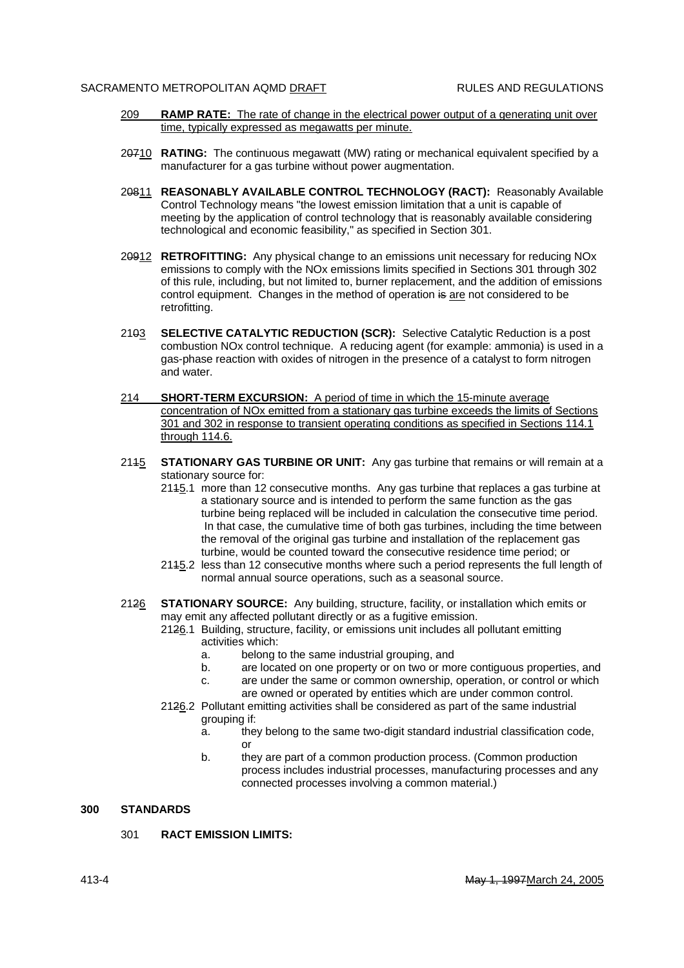- 209 **RAMP RATE:** The rate of change in the electrical power output of a generating unit over time, typically expressed as megawatts per minute.
- 20710 **RATING:** The continuous megawatt (MW) rating or mechanical equivalent specified by a manufacturer for a gas turbine without power augmentation.
- 20811 **REASONABLY AVAILABLE CONTROL TECHNOLOGY (RACT):** Reasonably Available Control Technology means "the lowest emission limitation that a unit is capable of meeting by the application of control technology that is reasonably available considering technological and economic feasibility," as specified in Section 301.
- 20912 **RETROFITTING:** Any physical change to an emissions unit necessary for reducing NOx emissions to comply with the NOx emissions limits specified in Sections 301 through 302 of this rule, including, but not limited to, burner replacement, and the addition of emissions control equipment. Changes in the method of operation is are not considered to be retrofitting.
- 2103 **SELECTIVE CATALYTIC REDUCTION (SCR):** Selective Catalytic Reduction is a post combustion NOx control technique. A reducing agent (for example: ammonia) is used in a gas-phase reaction with oxides of nitrogen in the presence of a catalyst to form nitrogen and water.
- 214 **SHORT-TERM EXCURSION:** A period of time in which the 15-minute average concentration of NOx emitted from a stationary gas turbine exceeds the limits of Sections 301 and 302 in response to transient operating conditions as specified in Sections 114.1 through 114.6.
- 2145 **STATIONARY GAS TURBINE OR UNIT:** Any gas turbine that remains or will remain at a stationary source for:
	- 2115.1 more than 12 consecutive months. Any gas turbine that replaces a gas turbine at a stationary source and is intended to perform the same function as the gas turbine being replaced will be included in calculation the consecutive time period. In that case, the cumulative time of both gas turbines, including the time between the removal of the original gas turbine and installation of the replacement gas turbine, would be counted toward the consecutive residence time period; or
	- 2115.2 less than 12 consecutive months where such a period represents the full length of normal annual source operations, such as a seasonal source.
- 2126 **STATIONARY SOURCE:** Any building, structure, facility, or installation which emits or may emit any affected pollutant directly or as a fugitive emission.
	- 2126.1 Building, structure, facility, or emissions unit includes all pollutant emitting activities which:
		- a. belong to the same industrial grouping, and
		- b. are located on one property or on two or more contiguous properties, and
		- c. are under the same or common ownership, operation, or control or which are owned or operated by entities which are under common control.
	- 2126.2 Pollutant emitting activities shall be considered as part of the same industrial grouping if:
		- a. they belong to the same two-digit standard industrial classification code, or
		- b. they are part of a common production process. (Common production process includes industrial processes, manufacturing processes and any connected processes involving a common material.)

## **300 STANDARDS**

301 **RACT EMISSION LIMITS:**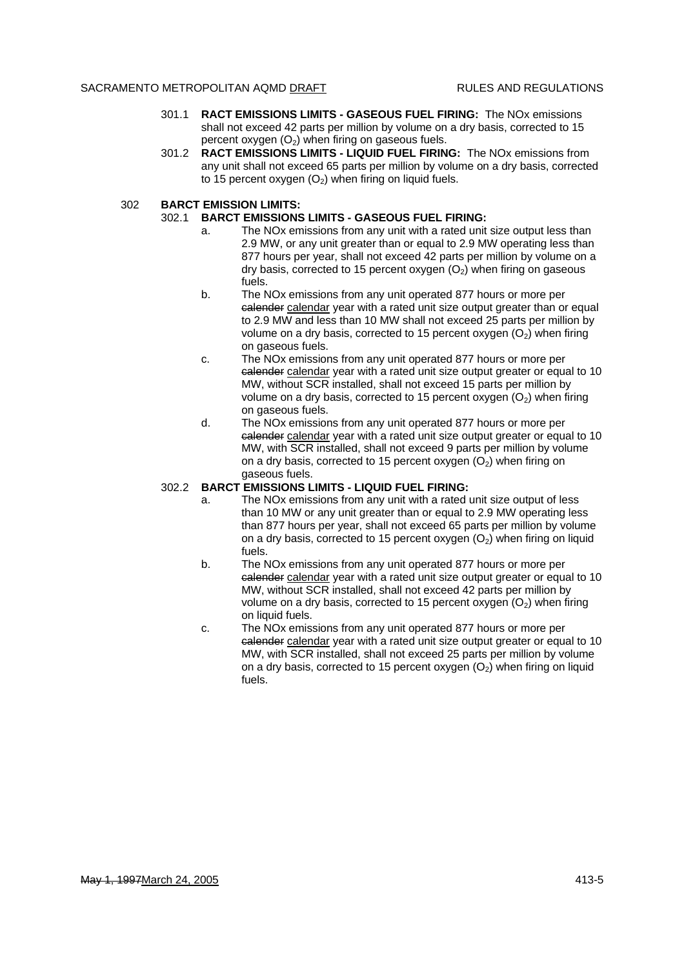- 301.1 **RACT EMISSIONS LIMITS GASEOUS FUEL FIRING:** The NOx emissions shall not exceed 42 parts per million by volume on a dry basis, corrected to 15 percent oxygen  $(O_2)$  when firing on gaseous fuels.
- 301.2 **RACT EMISSIONS LIMITS LIQUID FUEL FIRING:** The NOx emissions from any unit shall not exceed 65 parts per million by volume on a dry basis, corrected to 15 percent oxygen  $(O_2)$  when firing on liquid fuels.

## 302 **BARCT EMISSION LIMITS:**

## 302.1 **BARCT EMISSIONS LIMITS - GASEOUS FUEL FIRING:**

- a. The NOx emissions from any unit with a rated unit size output less than 2.9 MW, or any unit greater than or equal to 2.9 MW operating less than 877 hours per year, shall not exceed 42 parts per million by volume on a dry basis, corrected to 15 percent oxygen  $(O_2)$  when firing on gaseous fuels.
- b. The NOx emissions from any unit operated 877 hours or more per calender calendar year with a rated unit size output greater than or equal to 2.9 MW and less than 10 MW shall not exceed 25 parts per million by volume on a dry basis, corrected to 15 percent oxygen  $(O_2)$  when firing on gaseous fuels.
- c. The NOx emissions from any unit operated 877 hours or more per calender calendar year with a rated unit size output greater or equal to 10 MW, without SCR installed, shall not exceed 15 parts per million by volume on a dry basis, corrected to 15 percent oxygen  $(O<sub>2</sub>)$  when firing on gaseous fuels.
- d. The NOx emissions from any unit operated 877 hours or more per calender calendar year with a rated unit size output greater or equal to 10 MW, with SCR installed, shall not exceed 9 parts per million by volume on a dry basis, corrected to 15 percent oxygen  $(O_2)$  when firing on gaseous fuels.

## 302.2 **BARCT EMISSIONS LIMITS - LIQUID FUEL FIRING:**

- a. The NOx emissions from any unit with a rated unit size output of less than 10 MW or any unit greater than or equal to 2.9 MW operating less than 877 hours per year, shall not exceed 65 parts per million by volume on a dry basis, corrected to 15 percent oxygen  $(O_2)$  when firing on liquid fuels.
- b. The NOx emissions from any unit operated 877 hours or more per calender calendar year with a rated unit size output greater or equal to 10 MW, without SCR installed, shall not exceed 42 parts per million by volume on a dry basis, corrected to 15 percent oxygen  $(O_2)$  when firing on liquid fuels.
- c. The NOx emissions from any unit operated 877 hours or more per calender calendar year with a rated unit size output greater or equal to 10 MW, with SCR installed, shall not exceed 25 parts per million by volume on a dry basis, corrected to 15 percent oxygen  $(O<sub>2</sub>)$  when firing on liquid fuels.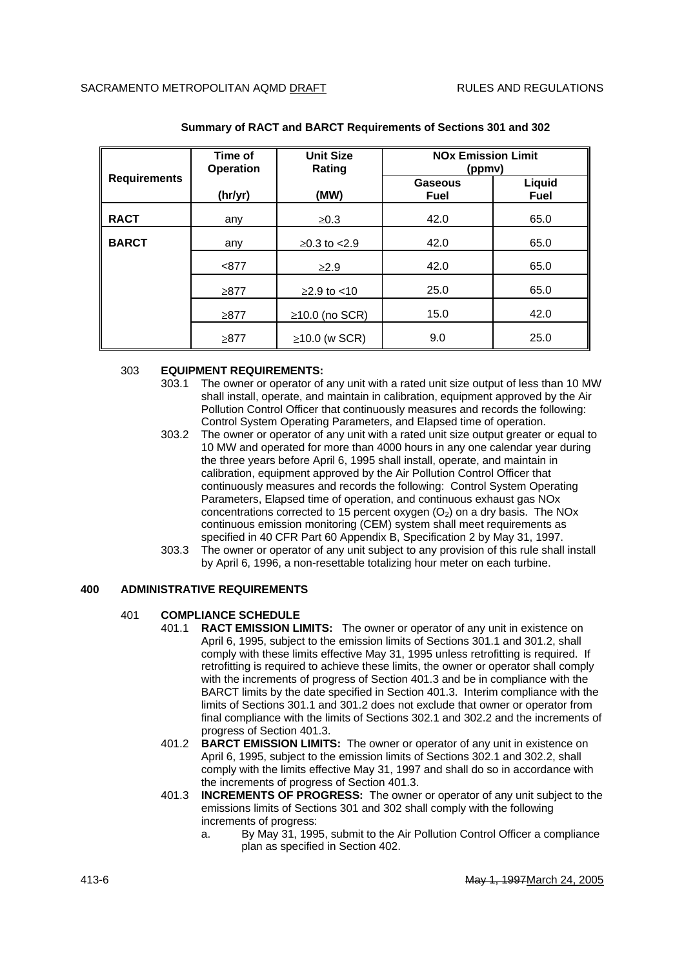| <b>Requirements</b> | Time of<br><b>Operation</b> | <b>Unit Size</b><br>Rating | <b>NO<sub>x</sub></b> Emission Limit<br>(ppmv) |                       |
|---------------------|-----------------------------|----------------------------|------------------------------------------------|-----------------------|
|                     | (hr/yr)                     | (MW)                       | <b>Gaseous</b><br><b>Fuel</b>                  | Liquid<br><b>Fuel</b> |
| <b>RACT</b>         | any                         | $\geq 0.3$                 | 42.0                                           | 65.0                  |
| <b>BARCT</b>        | any                         | $≥0.3$ to $<$ 2.9          | 42.0                                           | 65.0                  |
|                     | < 877                       | $\geq$ 2.9                 | 42.0                                           | 65.0                  |
|                     | $\geq 877$                  | $≥2.9$ to <10              | 25.0                                           | 65.0                  |
|                     | ≥877                        | $\geq$ 10.0 (no SCR)       | 15.0                                           | 42.0                  |
|                     | $\geq 877$                  | $\geq$ 10.0 (w SCR)        | 9.0                                            | 25.0                  |

### **Summary of RACT and BARCT Requirements of Sections 301 and 302**

#### 303 **EQUIPMENT REQUIREMENTS:**

- 303.1 The owner or operator of any unit with a rated unit size output of less than 10 MW shall install, operate, and maintain in calibration, equipment approved by the Air Pollution Control Officer that continuously measures and records the following: Control System Operating Parameters, and Elapsed time of operation.
- 303.2 The owner or operator of any unit with a rated unit size output greater or equal to 10 MW and operated for more than 4000 hours in any one calendar year during the three years before April 6, 1995 shall install, operate, and maintain in calibration, equipment approved by the Air Pollution Control Officer that continuously measures and records the following: Control System Operating Parameters, Elapsed time of operation, and continuous exhaust gas NOx concentrations corrected to 15 percent oxygen  $(O<sub>2</sub>)$  on a dry basis. The NOx continuous emission monitoring (CEM) system shall meet requirements as specified in 40 CFR Part 60 Appendix B, Specification 2 by May 31, 1997.
- 303.3 The owner or operator of any unit subject to any provision of this rule shall install by April 6, 1996, a non-resettable totalizing hour meter on each turbine.

# **400 ADMINISTRATIVE REQUIREMENTS**

## 401 **COMPLIANCE SCHEDULE**

- 401.1 **RACT EMISSION LIMITS:** The owner or operator of any unit in existence on April 6, 1995, subject to the emission limits of Sections 301.1 and 301.2, shall comply with these limits effective May 31, 1995 unless retrofitting is required. If retrofitting is required to achieve these limits, the owner or operator shall comply with the increments of progress of Section 401.3 and be in compliance with the BARCT limits by the date specified in Section 401.3. Interim compliance with the limits of Sections 301.1 and 301.2 does not exclude that owner or operator from final compliance with the limits of Sections 302.1 and 302.2 and the increments of progress of Section 401.3.
- 401.2 **BARCT EMISSION LIMITS:** The owner or operator of any unit in existence on April 6, 1995, subject to the emission limits of Sections 302.1 and 302.2, shall comply with the limits effective May 31, 1997 and shall do so in accordance with the increments of progress of Section 401.3.
- 401.3 **INCREMENTS OF PROGRESS:** The owner or operator of any unit subject to the emissions limits of Sections 301 and 302 shall comply with the following increments of progress:
	- a. By May 31, 1995, submit to the Air Pollution Control Officer a compliance plan as specified in Section 402.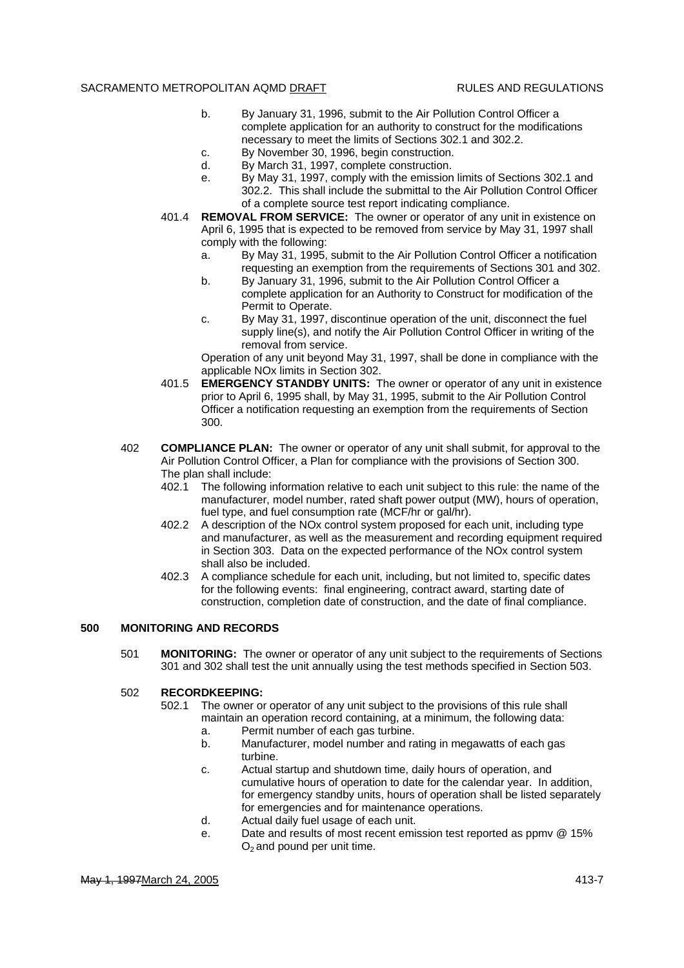- b. By January 31, 1996, submit to the Air Pollution Control Officer a complete application for an authority to construct for the modifications necessary to meet the limits of Sections 302.1 and 302.2.
- c. By November 30, 1996, begin construction.
- d. By March 31, 1997, complete construction.
- e. By May 31, 1997, comply with the emission limits of Sections 302.1 and 302.2. This shall include the submittal to the Air Pollution Control Officer of a complete source test report indicating compliance.
- 401.4 **REMOVAL FROM SERVICE:** The owner or operator of any unit in existence on April 6, 1995 that is expected to be removed from service by May 31, 1997 shall comply with the following:
	- a. By May 31, 1995, submit to the Air Pollution Control Officer a notification requesting an exemption from the requirements of Sections 301 and 302.
	- b. By January 31, 1996, submit to the Air Pollution Control Officer a complete application for an Authority to Construct for modification of the Permit to Operate.
	- c. By May 31, 1997, discontinue operation of the unit, disconnect the fuel supply line(s), and notify the Air Pollution Control Officer in writing of the removal from service.

Operation of any unit beyond May 31, 1997, shall be done in compliance with the applicable NOx limits in Section 302.

- 401.5 **EMERGENCY STANDBY UNITS:** The owner or operator of any unit in existence prior to April 6, 1995 shall, by May 31, 1995, submit to the Air Pollution Control Officer a notification requesting an exemption from the requirements of Section 300.
- 402 **COMPLIANCE PLAN:** The owner or operator of any unit shall submit, for approval to the Air Pollution Control Officer, a Plan for compliance with the provisions of Section 300. The plan shall include:
	- 402.1 The following information relative to each unit subject to this rule: the name of the manufacturer, model number, rated shaft power output (MW), hours of operation, fuel type, and fuel consumption rate (MCF/hr or gal/hr).
	- 402.2 A description of the NOx control system proposed for each unit, including type and manufacturer, as well as the measurement and recording equipment required in Section 303. Data on the expected performance of the NOx control system shall also be included.
	- 402.3 A compliance schedule for each unit, including, but not limited to, specific dates for the following events: final engineering, contract award, starting date of construction, completion date of construction, and the date of final compliance.

## **500 MONITORING AND RECORDS**

501 **MONITORING:** The owner or operator of any unit subject to the requirements of Sections 301 and 302 shall test the unit annually using the test methods specified in Section 503.

#### 502 **RECORDKEEPING:**

- 502.1 The owner or operator of any unit subject to the provisions of this rule shall maintain an operation record containing, at a minimum, the following data:
	- a. Permit number of each gas turbine.
	- b. Manufacturer, model number and rating in megawatts of each gas turbine.
	- c. Actual startup and shutdown time, daily hours of operation, and cumulative hours of operation to date for the calendar year. In addition, for emergency standby units, hours of operation shall be listed separately for emergencies and for maintenance operations.
	- d. Actual daily fuel usage of each unit.
	- e. Date and results of most recent emission test reported as ppmv @ 15%  $O<sub>2</sub>$  and pound per unit time.